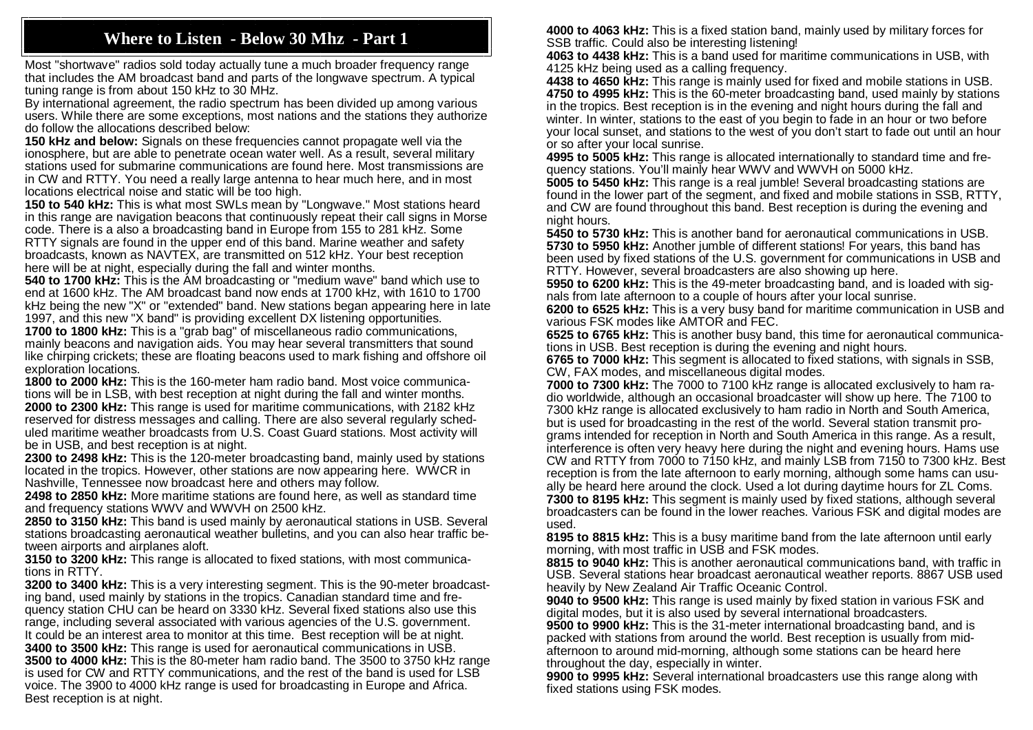## **Where to Listen - Below 30 Mhz - Part 1**

Most "shortwave" radios sold today actually tune a much broader frequency range that includes the AM broadcast band and parts of the longwave spectrum. A typical tuning range is from about 150 kHz to 30 MHz.

By international agreement, the radio spectrum has been divided up among various users. While there are some exceptions, most nations and the stations they authorize do follow the allocations described below:

**150 kHz and below:** Signals on these frequencies cannot propagate well via the ionosphere, but are able to penetrate ocean water well. As a result, several military stations used for submarine communications are found here. Most transmissions are in CW and RTTY. You need a really large antenna to hear much here, and in most locations electrical noise and static will be too high.

**150 to 540 kHz:** This is what most SWLs mean by "Longwave." Most stations heard in this range are navigation beacons that continuously repeat their call signs in Morse code. There is a also a broadcasting band in Europe from 155 to 281 kHz. Some RTTY signals are found in the upper end of this band. Marine weather and safety broadcasts, known as NAVTEX, are transmitted on 512 kHz. Your best reception here will be at night, especially during the fall and winter months.

**540 to 1700 kHz:** This is the AM broadcasting or "medium wave" band which use to end at 1600 kHz. The AM broadcast band now ends at 1700 kHz, with 1610 to 1700 kHz being the new "X" or "extended" band. New stations began appearing here in late 1997, and this new "X band" is providing excellent DX listening opportunities.

**1700 to 1800 kHz:** This is a "grab bag" of miscellaneous radio communications, mainly beacons and navigation aids. You may hear several transmitters that sound like chirping crickets; these are floating beacons used to mark fishing and offshore oil exploration locations.

**1800 to 2000 kHz:** This is the 160-meter ham radio band. Most voice communications will be in LSB, with best reception at night during the fall and winter months. **2000 to 2300 kHz:** This range is used for maritime communications, with 2182 kHz reserved for distress messages and calling. There are also several regularly scheduled maritime weather broadcasts from U.S. Coast Guard stations. Most activity will be in USB, and best reception is at night.

**2300 to 2498 kHz:** This is the 120-meter broadcasting band, mainly used by stations located in the tropics. However, other stations are now appearing here. WWCR in Nashville, Tennessee now broadcast here and others may follow.

**2498 to 2850 kHz:** More maritime stations are found here, as well as standard time and frequency stations WWV and WWVH on 2500 kHz.

**2850 to 3150 kHz:** This band is used mainly by aeronautical stations in USB. Several stations broadcasting aeronautical weather bulletins, and you can also hear traffic between airports and airplanes aloft.

**3150 to 3200 kHz:** This range is allocated to fixed stations, with most communications in RTTY.

**3200 to 3400 kHz:** This is a very interesting segment. This is the 90-meter broadcasting band, used mainly by stations in the tropics. Canadian standard time and frequency station CHU can be heard on 3330 kHz. Several fixed stations also use this range, including several associated with various agencies of the U.S. government. It could be an interest area to monitor at this time. Best reception will be at night. **3400 to 3500 kHz:** This range is used for aeronautical communications in USB. **3500 to 4000 kHz:** This is the 80-meter ham radio band. The 3500 to 3750 kHz range is used for CW and RTTY communications, and the rest of the band is used for LSB voice. The 3900 to 4000 kHz range is used for broadcasting in Europe and Africa. Best reception is at night.

**4000 to 4063 kHz:** This is a fixed station band, mainly used by military forces for SSB traffic. Could also be interesting listening!

**4063 to 4438 kHz:** This is a band used for maritime communications in USB, with 4125 kHz being used as a calling frequency.

**4438 to 4650 kHz:** This range is mainly used for fixed and mobile stations in USB. **4750 to 4995 kHz:** This is the 60-meter broadcasting band, used mainly by stations in the tropics. Best reception is in the evening and night hours during the fall and winter. In winter, stations to the east of you begin to fade in an hour or two before your local sunset, and stations to the west of you don't start to fade out until an hour or so after your local sunrise.

**4995 to 5005 kHz:** This range is allocated internationally to standard time and frequency stations. You'll mainly hear WWV and WWVH on 5000 kHz.

**5005 to 5450 kHz:** This range is a real jumble! Several broadcasting stations are found in the lower part of the segment, and fixed and mobile stations in SSB, RTTY, and CW are found throughout this band. Best reception is during the evening and night hours.

**5450 to 5730 kHz:** This is another band for aeronautical communications in USB. **5730 to 5950 kHz:** Another jumble of different stations! For years, this band has been used by fixed stations of the U.S. government for communications in USB and RTTY. However, several broadcasters are also showing up here.

**5950 to 6200 kHz:** This is the 49-meter broadcasting band, and is loaded with signals from late afternoon to a couple of hours after your local sunrise.

**6200 to 6525 kHz:** This is a very busy band for maritime communication in USB and various FSK modes like AMTOR and FEC.

**6525 to 6765 kHz:** This is another busy band, this time for aeronautical communications in USB. Best reception is during the evening and night hours.

**6765 to 7000 kHz:** This segment is allocated to fixed stations, with signals in SSB, CW, FAX modes, and miscellaneous digital modes.

**7000 to 7300 kHz:** The 7000 to 7100 kHz range is allocated exclusively to ham radio worldwide, although an occasional broadcaster will show up here. The 7100 to 7300 kHz range is allocated exclusively to ham radio in North and South America, but is used for broadcasting in the rest of the world. Several station transmit programs intended for reception in North and South America in this range. As a result, interference is often very heavy here during the night and evening hours. Hams use CW and RTTY from 7000 to 7150 kHz, and mainly LSB from 7150 to 7300 kHz. Best reception is from the late afternoon to early morning, although some hams can usually be heard here around the clock. Used a lot during daytime hours for ZL Coms. **7300 to 8195 kHz:** This segment is mainly used by fixed stations, although several broadcasters can be found in the lower reaches. Various FSK and digital modes are used.

**8195 to 8815 kHz:** This is a busy maritime band from the late afternoon until early morning, with most traffic in USB and FSK modes.

**8815 to 9040 kHz:** This is another aeronautical communications band, with traffic in USB. Several stations hear broadcast aeronautical weather reports. 8867 USB used heavily by New Zealand Air Traffic Oceanic Control.

**9040 to 9500 kHz:** This range is used mainly by fixed station in various FSK and digital modes, but it is also used by several international broadcasters.

**9500 to 9900 kHz:** This is the 31-meter international broadcasting band, and is packed with stations from around the world. Best reception is usually from midafternoon to around mid-morning, although some stations can be heard here throughout the day, especially in winter.

**9900 to 9995 kHz:** Several international broadcasters use this range along with fixed stations using FSK modes.